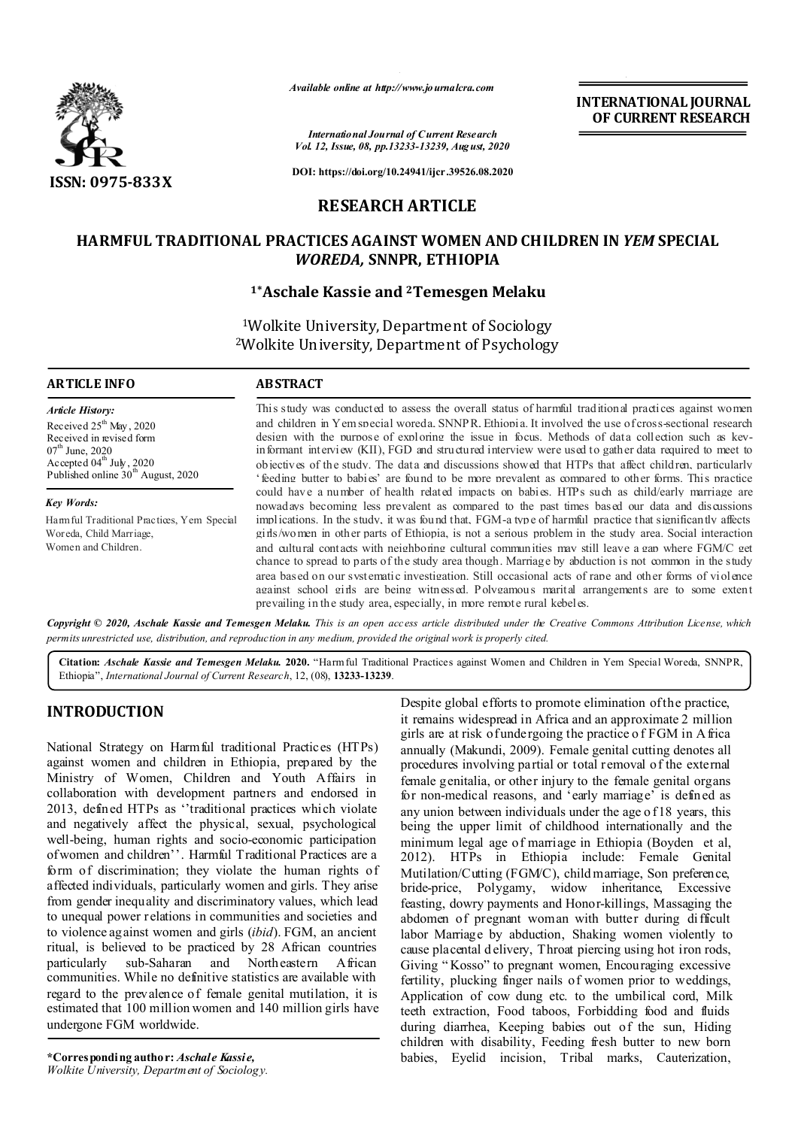

*Available online at http://www.journalcra.com*

*International Journal of Current Research Vol. 12, Issue, 08, pp.13233-13239, August, 2020* **INTERNATIONAL JOURNAL OF CURRENT RESEARCH**

**DOI: https://doi.org/10.24941/ijcr.39526.08.2020**

# **RESEARCH ARTICLE**

# **HARMFUL TRADITIONAL PRACTICES AGAINST WOMEN AND CHILDREN IN** *YEM* **SPECIAL**  *WOREDA,* **SNNPR, ETHIOPIA**

# **1\*Aschale Kassie and 2Temesgen Melaku**

1Wolkite University, Department of Sociology 2Wolkite University, Department of Psychology

### **ARTICLE INFO ABSTRACT**

*Article History:* Received 25<sup>th</sup> May, 2020 Received in revised form  $07<sup>th</sup>$  June, 2020 Accepted  $04^{\text{th}}$  July, 2020 Published online 30<sup>th</sup> August, 2020

*Key Words:* Harmful Traditional Practices, Yem Special Woreda, Child Marriage, Women and Children.

This study was conducted to assess the overall status of harmful traditional practices against women and children in Yem special woreda, SNNPR, Ethiopia. It involved the use of cross-sectional research design with the purpose of exploring the issue in focus. Methods of data collection such as keyinformant interview (KII), FGD and structured interview were used to gather data required to meet to objectives of the study. The data and discussions showed that HTPs that affect children, particularly 'feeding butter to babies' are found to be more prevalent as compared to other forms. This practice could have a number of health related impacts on babies. HTPs such as child/early marriage are nowadays becoming less prevalent as compared to the past times based our data and discussions implications. In the study, it was found that, FGM-a type of harmful practice that significantly affects girls/women in other parts of Ethiopia, is not a serious problem in the study area. Social interaction and cultural contacts with neighboring cultural communities may still leave a gap where FGM/C get chance to spread to parts of the study area though. Marriage by abduction is not common in the study area based on our systematic investigation. Still occasional acts of rape and other forms of violence against school girls are being witnessed. Polygamous marital arrangements are to some extent prevailing in the study area, especially, in more remote rural kebeles.

Copyright © 2020, Aschale Kassie and Temesgen Melaku. This is an open access article distributed under the Creative Commons Attribution License, which permits unrestricted use, distribution, and reproduction in any medium, provided the original work is properly cited.

**Citation:** *Aschale Kassie and Temesgen Melaku.* **2020.** "Harm ful Traditional Practices against Women and Children in Yem Special Woreda, SNNPR, Ethiopia", *International Journal of Current Research*, 12, (08), **13233-13239**.

# **INTRODUCTION**

National Strategy on Harmful traditional Practices (HTPs) against women and children in Ethiopia, prepared by the Ministry of Women, Children and Youth Affairs in collaboration with development partners and endorsed in 2013, defined HTPs as ''traditional practices which violate and negatively affect the physical, sexual, psychological well-being, human rights and socio-economic participation of women and children''. Harmful Traditional Practices are a form of discrimination; they violate the human rights of affected individuals, particularly women and girls. They arise from gender inequality and discriminatory values, which lead to unequal power relations in communities and societies and to violence against women and girls (*ibid*). FGM, an ancient ritual, is believed to be practiced by 28 African countries particularly sub-Saharan and Northeastern African communities. While no definitive statistics are available with regard to the prevalence of female genital mutilation, it is estimated that 100 million women and 140 million girls have undergone FGM worldwide.

**\*Corresponding author:** *Aschale Kassie, Wolkite University, Department of Sociology.* Despite global efforts to promote elimination of the practice, it remains widespread in Africa and an approximate 2 million girls are at risk of undergoing the practice o f FGM in A frica annually (Makundi, 2009). Female genital cutting denotes all procedures involving partial or total removal of the external female genitalia, or other injury to the female genital organs for non-medical reasons, and 'early marriage' is defined as any union between individuals under the age o f 18 years, this being the upper limit of childhood internationally and the minimum legal age of marriage in Ethiopia (Boyden et al, 2012). HTPs in Ethiopia include: Female Genital Mutilation/Cutting (FGM/C), child marriage, Son preference, bride-price, Polygamy, widow inheritance, Excessive feasting, dowry payments and Honor-killings, Massaging the abdomen of pregnant woman with butter during difficult labor Marriage by abduction, Shaking women violently to cause placental d elivery, Throat piercing using hot iron rods, Giving " Kosso" to pregnant women, Encouraging excessive fertility, plucking finger nails of women prior to weddings, Application of cow dung etc. to the umbilical cord, Milk teeth extraction, Food taboos, Forbidding food and fluids during diarrhea, Keeping babies out of the sun, Hiding children with disability, Feeding fresh butter to new born babies, Eyelid incision, Tribal marks, Cauterization,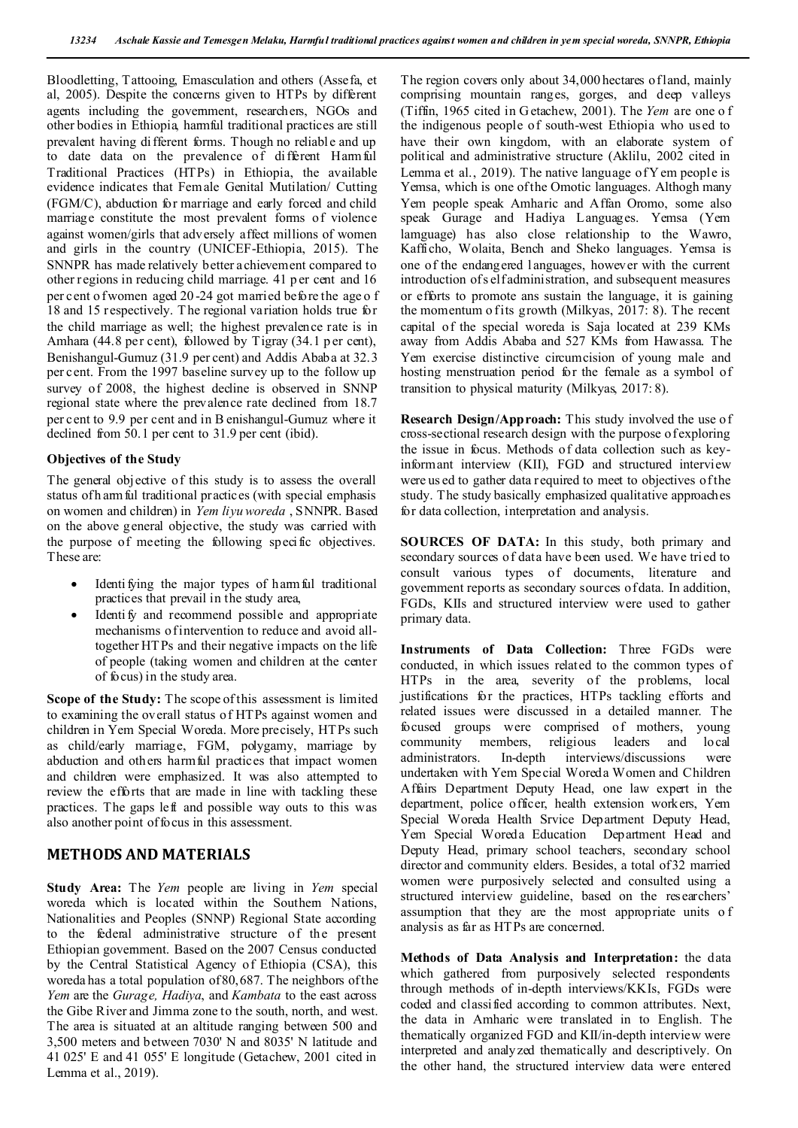Bloodletting, Tattooing, Emasculation and others (Assefa, et al, 2005). Despite the concerns given to HTPs by different agents including the government, researchers, NGOs and other bodies in Ethiopia, harmful traditional practices are still prevalent having different forms. Though no reliable and up to date data on the prevalence of different Harmful Traditional Practices (HTPs) in Ethiopia, the available evidence indicates that Female Genital Mutilation/ Cutting (FGM/C), abduction for marriage and early forced and child marriage constitute the most prevalent forms of violence against women/girls that adversely affect millions of women and girls in the country (UNICEF-Ethiopia, 2015). The SNNPR has made relatively better achievement compared to other regions in reducing child marriage. 41 p er cent and 16 per cent o f women aged 20-24 got married before the age o f 18 and 15 respectively. T he regional variation holds true for the child marriage as well; the highest prevalence rate is in Amhara (44.8 per cent), followed by Tigray (34.1 p er cent), Benishangul-Gumuz (31.9 per cent) and Addis Ababa at 32.3 per cent. From the 1997 baseline survey up to the follow up survey of 2008, the highest decline is observed in SNNP regional state where the prevalence rate declined from 18.7 per cent to 9.9 per cent and in B enishangul-Gumuz where it declined from 50.1 per cent to 31.9 per cent (ibid).

## **Objectives of the Study**

The general objective of this study is to assess the overall status of h arm ful traditional practices (with special emphasis on women and children) in *Yem liyu woreda* , SNNPR. Based on the above general objective, the study was carried with the purpose of meeting the following specific objectives. These are:

- Identi fying the major types of harmful traditional practices that prevail in the study area,
- Identi fy and recommend possible and appropriate mechanisms of intervention to reduce and avoid alltogether HTPs and their negative impacts on the life of people (taking women and children at the center of focus) in the study area.

**Scope of the Study:** The scope of this assessment is limited to examining the overall status of HTPs against women and children in Yem Special Woreda. More precisely, HTPs such as child/early marriage, FGM, polygamy, marriage by abduction and others harmful practices that impact women and children were emphasized. It was also attempted to review the efforts that are made in line with tackling these practices. The gaps left and possible way outs to this was also another point of focus in this assessment.

## **METHODS AND MATERIALS**

**Study Area:** The *Yem* people are living in *Yem* special woreda which is located within the Southern Nations, Nationalities and Peoples (SNNP) Regional State according to the federal administrative structure of the present Ethiopian government. Based on the 2007 Census conducted by the Central Statistical Agency of Ethiopia (CSA), this woreda has a total population of 80,687. The neighbors of the *Yem* are the *Gurage, Hadiya*, and *Kambata* to the east across the Gibe River and Jimma zone to the south, north, and west. The area is situated at an altitude ranging between 500 and 3,500 meters and between 7030' N and 8035' N latitude and 41 025' E and 41 055' E longitude (Getachew, 2001 cited in Lemma et al., 2019).

The region covers only about 34,000 hectares of land, mainly comprising mountain ranges, gorges, and deep valleys (Tiffin, 1965 cited in G etachew, 2001). The *Yem* are one o f the indigenous people of south-west Ethiopia who used to have their own kingdom, with an elaborate system of political and administrative structure (Aklilu, 2002 cited in Lemma et al., 2019). The native language of Y em people is Yemsa, which is one of the Omotic languages. Althogh many Yem people speak Amharic and Affan Oromo, some also speak Gurage and Hadiya Languages. Yemsa (Yem lamguage) has also close relationship to the Wawro, Kafficho, Wolaita, Bench and Sheko languages. Yemsa is one of the endangered languages, however with the current introduction of s elf administration, and subsequent measures or efforts to promote ans sustain the language, it is gaining the momentum o fits growth (Milkyas,  $2017: 8$ ). The recent capital of the special woreda is Saja located at 239 KMs away from Addis Ababa and 527 KMs from Hawassa. The Yem exercise distinctive circumcision of young male and hosting menstruation period for the female as a symbol of transition to physical maturity (Milkyas, 2017: 8).

**Research Design/Approach:** This study involved the use of cross-sectional research design with the purpose of exploring the issue in focus. Methods of data collection such as keyinformant interview (KII), FGD and structured interview were us ed to gather data required to meet to objectives of the study. The study basically emphasized qualitative approaches for data collection, interpretation and analysis.

**SOURCES OF DATA:** In this study, both primary and secondary sources of data have been used. We have tried to consult various types of documents, literature and government reports as secondary sources of data. In addition, FGDs, KIIs and structured interview were used to gather primary data.

**Instruments of Data Collection:** Three FGDs were conducted, in which issues related to the common types of HTPs in the area, severity of the problems, local justifications for the practices, HTPs tackling efforts and related issues were discussed in a detailed manner. The focused groups were comprised of mothers, young community members, religious leaders administrators. In-depth interviews/discussions were undertaken with Yem Special Woreda Women and Children Affairs Department Deputy Head, one law expert in the department, police officer, health extension workers, Yem Special Woreda Health Srvice Department Deputy Head, Yem Special Woreda Education Department Head and Deputy Head, primary school teachers, secondary school director and community elders. Besides, a total of 32 married women were purposively selected and consulted using a structured interview guideline, based on the researchers' assumption that they are the most appropriate units o f analysis as far as HTPs are concerned.

**Methods of Data Analysis and Interpretation:** the data which gathered from purposively selected respondents through methods of in-depth interviews/KKIs, FGDs were coded and classified according to common attributes. Next, the data in Amharic were translated in to English. The thematically organized FGD and KII/in-depth interview were interpreted and analyzed thematically and descriptively. On the other hand, the structured interview data were entered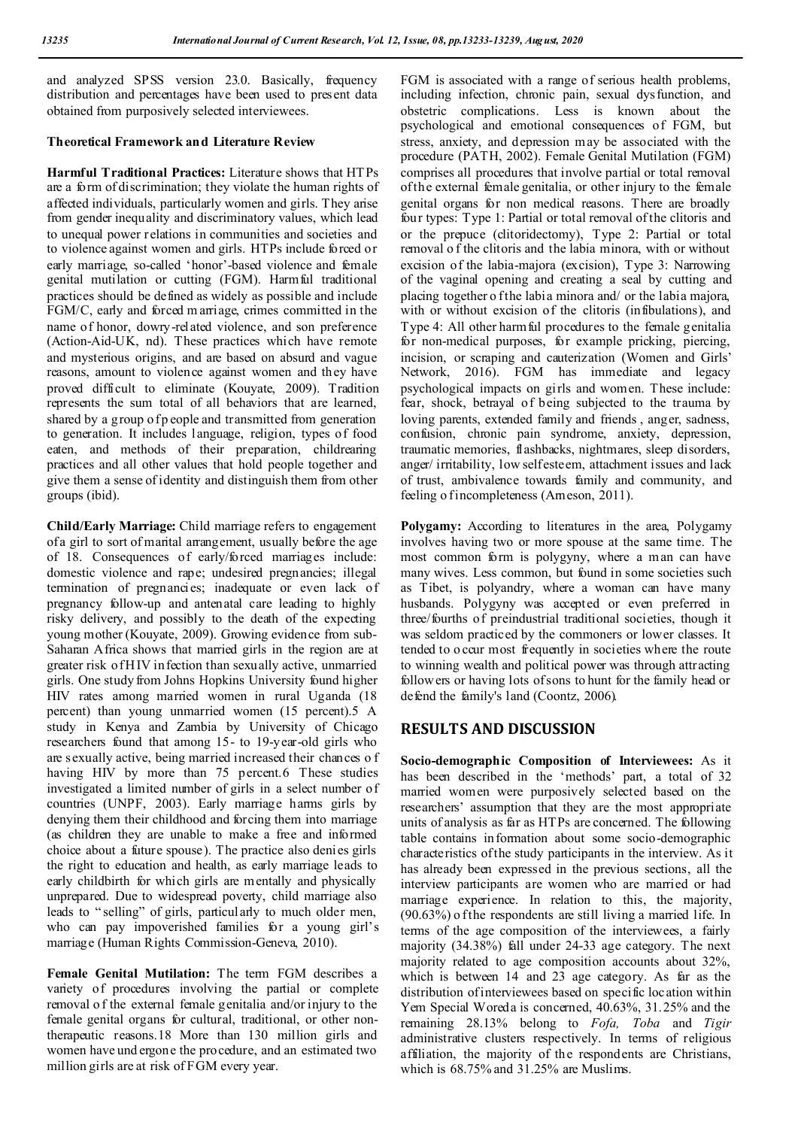and analyzed SPSS version 23.0. Basically, frequency distribution and percentages have been used to present data obtained from purposively selected interviewees.

## **Theoretical Framework and Literature Review**

**Harmful Traditional Practices:** Literature shows that HTPs are a form of discrimination; they violate the human rights of affected individuals, particularly women and girls. They arise from gender inequality and discriminatory values, which lead to unequal power relations in communities and societies and to violence against women and girls. HTPs include forced or early marriage, so-called 'honor'-based violence and female genital mutilation or cutting (FGM). Harmful traditional practices should be defined as widely as possible and include FGM/C, early and forced m arriage, crimes committed in the name of honor, dowry-related violence, and son preference (Action-Aid-UK, nd). These practices which have remote and mysterious origins, and are based on absurd and vague reasons, amount to violence against women and they have proved difficult to eliminate (Kouyate, 2009). Tradition represents the sum total of all behaviors that are learned, shared by a group of p eople and transmitted from generation to generation. It includes language, religion, types of food eaten, and methods of their preparation, childrearing practices and all other values that hold people together and give them a sense of identity and distinguish them from other groups (ibid).

**Child/Early Marriage:** Child marriage refers to engagement of a girl to sort of marital arrangement, usually before the age of 18. Consequences of early/forced marriages include: domestic violence and rape; undesired pregnancies; illegal termination of pregnancies; inadequate or even lack of pregnancy follow-up and antenatal care leading to highly risky delivery, and possibly to the death of the expecting young mother (Kouyate, 2009). Growing evidence from sub-Saharan Africa shows that married girls in the region are at greater risk of H IV infection than sexually active, unmarried girls. One study from Johns Hopkins University found higher HIV rates among married women in rural Uganda (18 percent) than young unmarried women (15 percent).5 A study in Kenya and Zambia by University of Chicago researchers found that among 15- to 19-year-old girls who are sexually active, being married increased their chances o f having HIV by more than 75 percent.6 These studies investigated a limited number of girls in a select number of countries (UNPF, 2003). Early marriage harms girls by denying them their childhood and forcing them into marriage (as children they are unable to make a free and informed choice about a future spouse). The practice also denies girls the right to education and health, as early marriage leads to early childbirth for which girls are mentally and physically unprepared. Due to widespread poverty, child marriage also leads to " selling" of girls, particularly to much older men, who can pay impoverished families for a young girl's marriage (Human Rights Commission-Geneva, 2010).

**Female Genital Mutilation:** The term FGM describes a variety of procedures involving the partial or complete removal o f the external female genitalia and/or injury to the female genital organs for cultural, traditional, or other nontherapeutic reasons.18 More than 130 million girls and women have und ergone the procedure, and an estimated two million girls are at risk of FGM every year.

FGM is associated with a range of serious health problems, including infection, chronic pain, sexual dysfunction, and obstetric complications. Less is known about the psychological and emotional consequences of FGM, but stress, anxiety, and depression may be associated with the procedure (PATH, 2002). Female Genital Mutilation (FGM) comprises all procedures that involve partial or total removal of the external female genitalia, or other injury to the female genital organs for non medical reasons. There are broadly four types: Type 1: Partial or total removal of the clitoris and or the prepuce (clitoridectomy), Type 2: Partial or total removal o f the clitoris and the labia minora, with or without excision of the labia-majora (excision), Type 3: Narrowing of the vaginal opening and creating a seal by cutting and placing together o f the labia minora and/ or the labia majora, with or without excision of the clitoris (infibulations), and Type 4: All other harmful procedures to the female genitalia for non-medical purposes, for example pricking, piercing, incision, or scraping and cauterization (Women and Girls' Network, 2016). FGM has immediate and legacy psychological impacts on girls and women. These include: fear, shock, betrayal of being subjected to the trauma by loving parents, extended family and friends , anger, sadness, confusion, chronic pain syndrome, anxiety, depression, traumatic memories, flashbacks, nightmares, sleep disorders, anger/ irritability, low self esteem, attachment issues and lack of trust, ambivalence towards family and community, and feeling o f incompleteness (Ameson, 2011).

**Polygamy:** According to literatures in the area, Polygamy involves having two or more spouse at the same time. The most common form is polygyny, where a man can have many wives. Less common, but found in some societies such as Tibet, is polyandry, where a woman can have many husbands. Polygyny was accepted or even preferred in three/fourths of preindustrial traditional societies, though it was seldom practiced by the commoners or lower classes. It tended to o ccur most frequently in societies where the route to winning wealth and political power was through attracting followers or having lots of sons to hunt for the family head or defend the family's land (Coontz, 2006).

## **RESULTS AND DISCUSSION**

**Socio-demographic Composition of Interviewees:** As it has been described in the 'methods' part, a total of 32 married women were purposively selected based on the researchers' assumption that they are the most appropriate units of analysis as far as HTPs are concerned. The following table contains information about some socio-demographic characteristics of the study participants in the interview. As it has already been expressed in the previous sections, all the interview participants are women who are married or had marriage experience. In relation to this, the majority, (90.63%) o f the respondents are still living a married life. In terms of the age composition of the interviewees, a fairly majority (34.38%) fall under 24-33 age category. The next majority related to age composition accounts about 32%, which is between 14 and 23 age category. As far as the distribution of interviewees based on specific location within Yem Special Woreda is concerned, 40.63%, 31.25% and the remaining 28.13% belong to *Fofa, Toba* and *Tigir*  administrative clusters respectively. In terms of religious affiliation, the majority of the respondents are Christians, which is 68.75% and 31.25% are Muslims.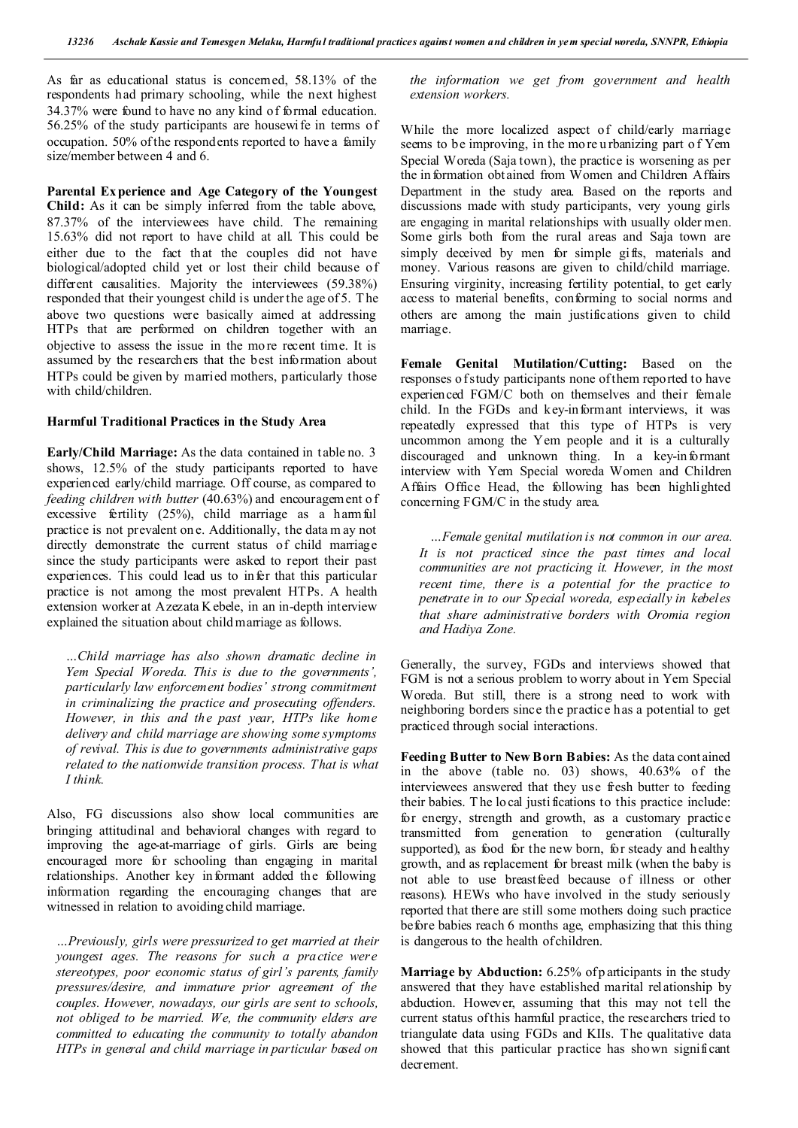As far as educational status is concerned, 58.13% of the respondents had primary schooling, while the next highest 34.37% were found to have no any kind of formal education. 56.25% of the study participants are housewife in terms of occupation. 50% of the respondents reported to have a family size/member between 4 and 6.

**Parental Ex perience and Age Category of the Youngest Child:** As it can be simply inferred from the table above, 87.37% of the interviewees have child. The remaining 15.63% did not report to have child at all. This could be either due to the fact that the couples did not have biological/adopted child yet or lost their child because of different causalities. Majority the interviewees (59.38%) responded that their youngest child is under the age of 5. T he above two questions were basically aimed at addressing HTPs that are performed on children together with an objective to assess the issue in the more recent time. It is assumed by the researchers that the best information about HTPs could be given by married mothers, particularly those with child/children.

#### **Harmful Traditional Practices in the Study Area**

**Early/Child Marriage:** As the data contained in table no. 3 shows, 12.5% of the study participants reported to have experienced early/child marriage. Off course, as compared to *feeding children with butter* (40.63%) and encouragement o f excessive fertility (25%), child marriage as a harmful practice is not prevalent on e. Additionally, the data m ay not directly demonstrate the current status of child marriage since the study participants were asked to report their past experiences. This could lead us to infer that this particular practice is not among the most prevalent HTPs. A health extension worker at Azezata K ebele, in an in-depth interview explained the situation about child marriage as follows.

*…Child marriage has also shown dramatic decline in Yem Special Woreda. This is due to the governments', particularly law enforcement bodies' strong commitment in criminalizing the practice and prosecuting offenders. However, in this and the past year, HTPs like home delivery and child marriage are showing some symptoms of revival. This is due to governments administrative gaps related to the nationwide transition process. That is what I think.*

Also, FG discussions also show local communities are bringing attitudinal and behavioral changes with regard to improving the age-at-marriage of girls. Girls are being encouraged more for schooling than engaging in marital relationships. Another key informant added the following information regarding the encouraging changes that are witnessed in relation to avoiding child marriage.

*…Previously, girls were pressurized to get married at their youngest ages. The reasons for such a practice were stereotypes, poor economic status of girl's parents, family pressures/desire, and immature prior agreement of the couples. However, nowadays, our girls are sent to schools, not obliged to be married. We, the community elders are committed to educating the community to totally abandon HTPs in general and child marriage in particular based on* 

*the information we get from government and health extension workers.*

While the more localized aspect of child/early marriage seems to be improving, in the mo re u rbanizing part o f Yem Special Woreda (Saja town), the practice is worsening as per the in formation obtained from Women and Children Affairs Department in the study area. Based on the reports and discussions made with study participants, very young girls are engaging in marital relationships with usually older men. Some girls both from the rural areas and Saja town are simply deceived by men for simple gifts, materials and money. Various reasons are given to child/child marriage. Ensuring virginity, increasing fertility potential, to get early access to material benefits, conforming to social norms and others are among the main justifications given to child marriage.

**Female Genital Mutilation/Cutting:** Based on the responses o f study participants none of them reported to have experienced FGM/C both on themselves and their female child. In the FGDs and key-informant interviews, it was repeatedly expressed that this type of HTPs is very uncommon among the Yem people and it is a culturally discouraged and unknown thing. In a key-informant interview with Yem Special woreda Women and Children Affairs Office Head, the following has been highlighted concerning FGM/C in the study area.

 *…Female genital mutilation is not common in our area. It is not practiced since the past times and local communities are not practicing it. However, in the most recent time, there is a potential for the practice to penetrate in to our Special woreda, especially in kebeles that share administrative borders with Oromia region and Hadiya Zone.* 

Generally, the survey, FGDs and interviews showed that FGM is not a serious problem to worry about in Yem Special Woreda. But still, there is a strong need to work with neighboring borders since th e practice has a potential to get practiced through social interactions.

**Feeding Butter to New Born Babies:** As the data cont ained in the above (table no. 03) shows, 40.63% of the interviewees answered that they use fresh butter to feeding their babies. The lo cal justifications to this practice include: for energy, strength and growth, as a customary practice transmitted from generation to generation (culturally supported), as food for the new born, for steady and healthy growth, and as replacement for breast milk (when the baby is not able to use breastfeed because of illness or other reasons). HEWs who have involved in the study seriously reported that there are still some mothers doing such practice before babies reach 6 months age, emphasizing that this thing is dangerous to the health of children.

**Marriage by Abduction:** 6.25% of p articipants in the study answered that they have established marital relationship by abduction. However, assuming that this may not tell the current status of this harmful practice, the researchers tried to triangulate data using FGDs and KIIs. The qualitative data showed that this particular practice has shown significant decrement.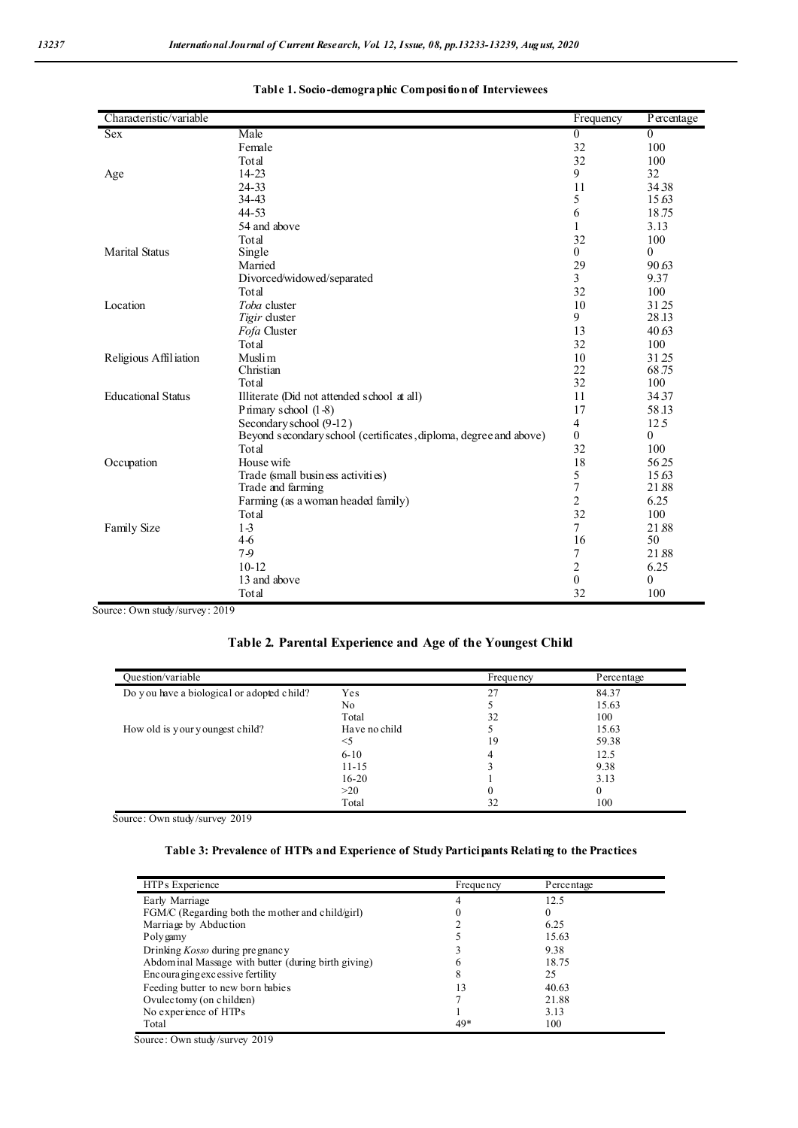| Characteristic/variable   |                                                                   | Frequency        | Percentage   |
|---------------------------|-------------------------------------------------------------------|------------------|--------------|
| <b>Sex</b>                | Male                                                              | $\boldsymbol{0}$ | $\mathbf{0}$ |
|                           | Female                                                            | 32               | 100          |
|                           | Total                                                             | 32               | 100          |
| Age                       | 14-23                                                             | 9                | 32           |
|                           | 24-33                                                             | 11               | 3438         |
|                           | 34-43                                                             | 5                | 15.63        |
|                           | 44-53                                                             | 6                | 18.75        |
|                           | 54 and above                                                      | $\mathbf{1}$     | 3.13         |
|                           | Total                                                             | 32               | 100          |
| <b>Marital Status</b>     | Single                                                            | $\theta$         | $\mathbf{0}$ |
|                           | Married                                                           | 29               | 90.63        |
|                           | Divorced/widowed/separated                                        | 3                | 9.37         |
|                           | Total                                                             | 32               | 100          |
| Location                  | Toba cluster                                                      | 10               | 3125         |
|                           | Tigir cluster                                                     | 9                | 28.13        |
|                           | Fofa Cluster                                                      | 13               | 40.63        |
|                           | Total                                                             | 32               | 100          |
| Religious Affiliation     | Muslim                                                            | 10               | 3125         |
|                           | Christian                                                         | 22               | 68.75        |
|                           | Total                                                             | 32               | 100          |
| <b>Educational Status</b> | Illiterate (Did not attended school at all)                       | 11               | 3437         |
|                           | Primary school $(1-8)$                                            | 17               | 58.13        |
|                           | Secondary school (9-12)                                           | $\overline{4}$   | 12.5         |
|                           | Beyond secondary school (certificates, diploma, degree and above) | $\mathbf{0}$     | $\theta$     |
|                           | Total                                                             | 32               | 100          |
| Occupation                | House wife                                                        | 18               | 5625         |
|                           | Trade (small business activities)                                 | 5                | 15.63        |
|                           | Trade and farming                                                 | $\tau$           | 21.88        |
|                           | Farming (as a woman headed family)                                | $\overline{2}$   | 6.25         |
|                           | Total                                                             | 32               | 100          |
| Family Size               | $1-3$                                                             | $\tau$           | 21.88        |
|                           | $4-6$                                                             | 16               | 50           |
|                           | 7-9                                                               | 7                | 21.88        |
|                           | $10 - 12$                                                         | $\overline{c}$   | 6.25         |
|                           | 13 and above                                                      | $\mathbf{0}$     | $\theta$     |
|                           | Total                                                             | 32               | 100          |

## **Table 1. Socio-demographic Composition of Interviewees**

Source: Own study/survey: 2019

# **Table 2. Parental Experience and Age of the Youngest Child**

| Question/variable                          |               | <b>Frequency</b> | Percentage |
|--------------------------------------------|---------------|------------------|------------|
| Do you have a biological or adopted child? | Yes           | 27               | 84.37      |
|                                            | No            |                  | 15.63      |
|                                            | Total         | 32               | 100        |
| How old is your youngest child?            | Have no child |                  | 15.63      |
|                                            | $<$ 5         | 19               | 59.38      |
|                                            | $6 - 10$      |                  | 12.5       |
|                                            | $11 - 15$     |                  | 9.38       |
|                                            | $16 - 20$     |                  | 3.13       |
|                                            | >20           |                  |            |
|                                            | Total         | 32               | 100        |

Source: Own study/survey 2019

# **Table 3: Prevalence of HTPs and Experience of Study Participants Relating to the Practices**

| HTP <sub>s</sub> Experience                          | <b>Frequency</b> | Percentage |  |
|------------------------------------------------------|------------------|------------|--|
| Early Marriage                                       |                  | 12.5       |  |
| FGM/C (Regarding both the mother and child/girl)     |                  | $_{0}$     |  |
| Marriage by Abduction                                |                  | 6.25       |  |
| Polygamy                                             |                  | 15.63      |  |
| Drinking Kosso during pregnancy                      |                  | 9.38       |  |
| Abdom inal Massage with butter (during birth giving) |                  | 18.75      |  |
| Encoura ging excessive fertility                     |                  | 25         |  |
| Feeding butter to new born babies                    | 13               | 40.63      |  |
| Ovulectomy (on children)                             |                  | 21.88      |  |
| No experience of HTPs                                |                  | 3.13       |  |
| Total                                                | 49*              | 100        |  |

Source: Own study/survey 2019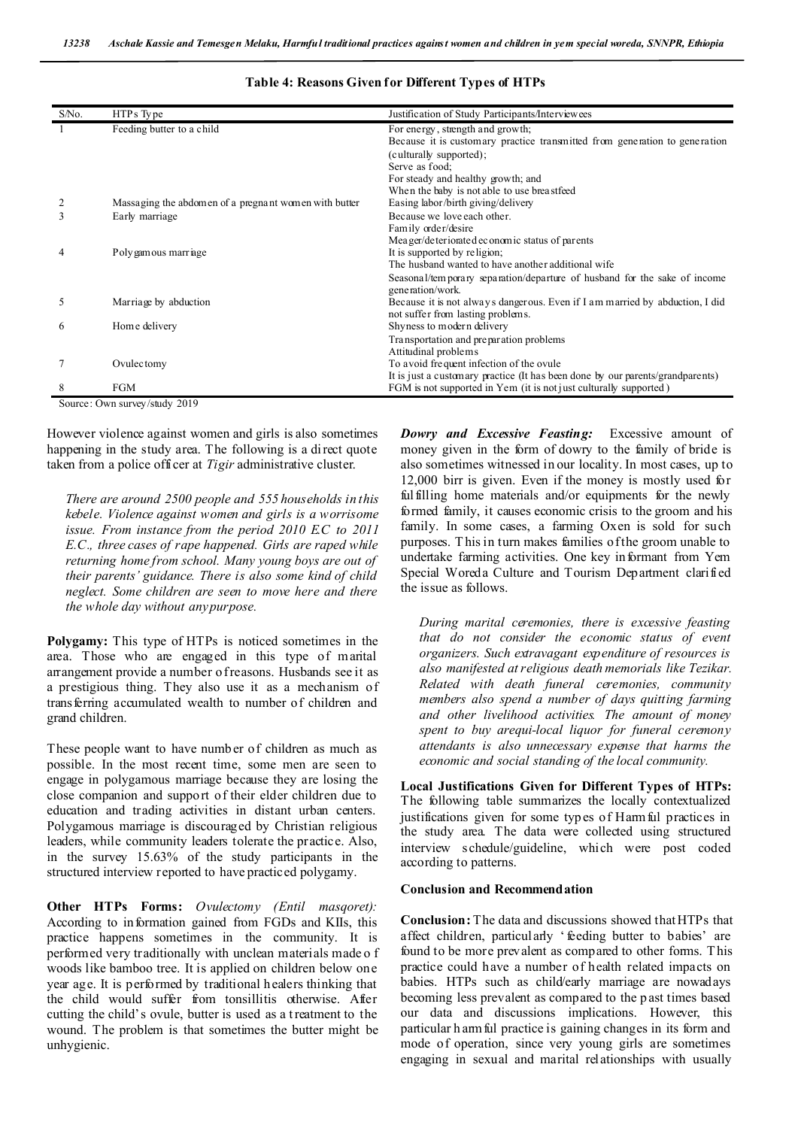| S/No. | HTPs Type                                             | Justification of Study Participants/Interviewees                               |
|-------|-------------------------------------------------------|--------------------------------------------------------------------------------|
|       | Feeding butter to a child                             | For energy, strength and growth;                                               |
|       |                                                       | Because it is customary practice transmitted from generation to generation     |
|       |                                                       | (culturally supported);                                                        |
|       |                                                       | Serve as food:                                                                 |
|       |                                                       | For steady and healthy growth; and                                             |
|       |                                                       | When the baby is not able to use breastfeed                                    |
|       | Massaging the abdomen of a pregnant women with butter | Easing labor/birth giving/delivery                                             |
|       | Early marriage                                        | Because we love each other.                                                    |
|       |                                                       | Family order/desire                                                            |
|       |                                                       | Meager/deteriorated economic status of parents                                 |
|       | Polygamous marriage                                   | It is supported by religion;                                                   |
|       |                                                       | The husband wanted to have another additional wife                             |
|       |                                                       | Seasonal/tem porary separation/departure of husband for the sake of income     |
|       |                                                       | generation/work.                                                               |
| 5     | Marriage by abduction                                 | Because it is not always dangerous. Even if I am married by abduction, I did   |
|       |                                                       | not suffer from lasting problems.                                              |
| 6     | Home delivery                                         | Shyness to modern delivery                                                     |
|       |                                                       | Transportation and preparation problems                                        |
|       |                                                       | Attitudinal problems                                                           |
|       | Ovulectomy                                            | To avoid frequent infection of the ovule                                       |
|       |                                                       | It is just a customary practice (It has been done by our parents/grandparents) |
| 8     | <b>FGM</b>                                            | FGM is not supported in Yem (it is not just culturally supported)              |

#### **Table 4: Reasons Given for Different Types of HTPs**

Source: Own survey/study 2019

However violence against women and girls is also sometimes happening in the study area. The following is a direct quote taken from a police officer at *Tigir* administrative cluster.

*There are around 2500 people and 555 households in this kebele. Violence against women and girls is a worrisome issue. From instance from the period 2010 E.C to 2011 E.C., three cases of rape happened. Girls are raped while returning home from school. Many young boys are out of their parents' guidance. There is also some kind of child neglect. Some children are seen to move here and there the whole day without any purpose.* 

**Polygamy:** This type of HTPs is noticed sometimes in the area. Those who are engaged in this type of marital arrangement provide a number of reasons. Husbands see it as a prestigious thing. They also use it as a mechanism of transferring accumulated wealth to number of children and grand children.

These people want to have number of children as much as possible. In the most recent time, some men are seen to engage in polygamous marriage because they are losing the close companion and support of their elder children due to education and trading activities in distant urban centers. Polygamous marriage is discouraged by Christian religious leaders, while community leaders tolerate the practice. Also, in the survey 15.63% of the study participants in the structured interview reported to have practiced polygamy.

**Other HTPs Forms:** *Ovulectomy (Entil masqoret):* According to information gained from FGDs and KIIs, this practice happens sometimes in the community. It is performed very traditionally with unclean materials made o f woods like bamboo tree. It is applied on children below one year age. It is performed by traditional h ealers thinking that the child would suffer from tonsillitis otherwise. After cutting the child's ovule, butter is used as a t reatment to the wound. The problem is that sometimes the butter might be unhygienic.

*Dowry and Excessive Feasting:* Excessive amount of money given in the form of dowry to the family of bride is also sometimes witnessed in our locality. In most cases, up to 12,000 birr is given. Even if the money is mostly used for fulfilling home materials and/or equipments for the newly formed family, it causes economic crisis to the groom and his family. In some cases, a farming Oxen is sold for such purposes. T his in turn makes families of the groom unable to undertake farming activities. One key informant from Yem Special Woreda Culture and Tourism Department clarified the issue as follows.

*During marital ceremonies, there is excessive feasting that do not consider the economic status of event organizers. Such extravagant expenditure of resources is also manifested at religious death memorials like Tezikar. Related with death funeral ceremonies, community members also spend a number of days quitting farming and other livelihood activities. The amount of money spent to buy arequi-local liquor for funeral ceremony attendants is also unnecessary expense that harms the economic and social standing of the local community.* 

**Local Justifications Given for Different Types of HTPs:**  The following table summarizes the locally contextualized justifications given for some types of Harmful practices in the study area. The data were collected using structured interview schedule/guideline, which were post coded according to patterns.

#### **Conclusion and Recommendation**

**Conclusion:** The data and discussions showed that HTPs that affect children, particularly ' feeding butter to babies' are found to be more prevalent as compared to other forms. T his practice could have a number of health related impacts on babies. HTPs such as child/early marriage are nowadays becoming less prevalent as compared to the p ast times based our data and discussions implications. However, this particular h armful practice is gaining changes in its form and mode of operation, since very young girls are sometimes engaging in sexual and marital relationships with usually